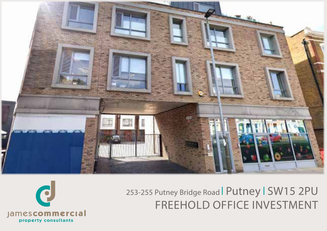

# 253-255 Putney Bridge Road | Putney | SW15 2PU FREEHOLD OFFICE INVESTMENT